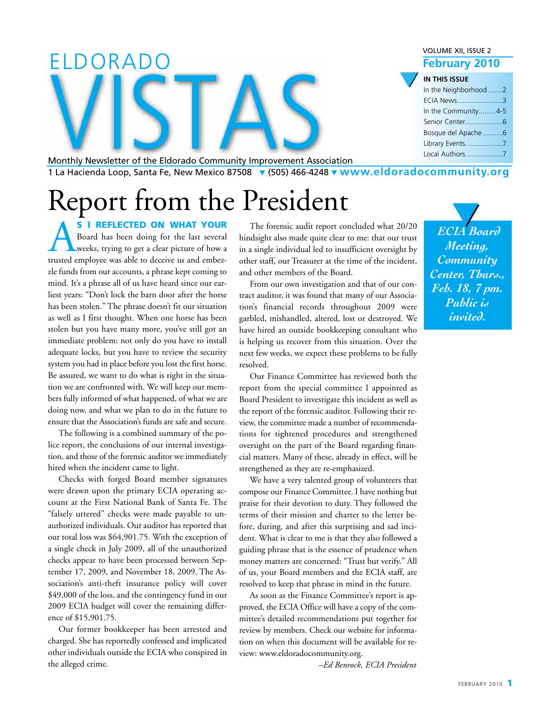|                                                                                                               | <b>VOLUME XII, ISSUE 2</b> |
|---------------------------------------------------------------------------------------------------------------|----------------------------|
| ELDORADO                                                                                                      | <b>February 2010</b>       |
|                                                                                                               | IN THIS ISSUE              |
|                                                                                                               | In the Neighborhood 2      |
|                                                                                                               | <b>ECIA News3</b>          |
|                                                                                                               | In the Community4-5        |
|                                                                                                               |                            |
|                                                                                                               | Bosque del Apache 6        |
|                                                                                                               |                            |
|                                                                                                               |                            |
| Monthly Newsletter of the Eldorado Community Improvement Association                                          |                            |
| $112$ Hesianda Loop Santa Eq. Now Moviso 27508 $\bullet$ (EQS) 466 4248 $\bullet$ MUMMM aldoradocommunity org |                            |

Monthly Newsletter of the Eldorado Community Improvement Association 1 La Hacienda Loop, Santa Fe, New Mexico 87508 ▼ (505) 466-4248 ▼ **www.eldoradocommunity.org**

# Report from the President

S I REFLECTED ON WHAT YOUR<br>Board has been doing for the last several<br>weeks, trying to get a clear picture of how a<br>trusted employee was able to deceive us and embez-Board has been doing for the last several weeks, trying to get a clear picture of how a trusted employee was able to deceive us and embezzle funds from our accounts, a phrase kept coming to mind. It's a phrase all of us have heard since our earliest years: "Don't lock the barn door after the horse has been stolen." The phrase doesn't fit our situation as well as I first thought. When one horse has been stolen but you have many more, you've still got an immediate problem: not only do you have to install adequate locks, but you have to review the security system you had in place before you lost the first horse. Be assured, we want to do what is right in the situation we are confronted with. We will keep our members fully informed of what happened, of what we are doing now, and what we plan to do in the future to ensure that the Association's funds are safe and secure.

The following is a combined summary of the police report, the conclusions of our internal investigation, and those of the forensic auditor we immediately hired when the incident came to light.

Checks with forged Board member signatures were drawn upon the primary ECIA operating account at the First National Bank of Santa Fe. The "falsely uttered" checks were made payable to unauthorized individuals. Our auditor has reported that our total loss was \$64,901.75. With the exception of a single check in July 2009, all of the unauthorized checks appear to have been processed between September 17, 2009, and November 18, 2009. The Association's anti-theft insurance policy will cover \$49,000 of the loss, and the contingency fund in our 2009 ECIA budget will cover the remaining difference of \$15,901.75.

Our former bookkeeper has been arrested and charged. She has reportedly confessed and implicated other individuals outside the ECIA who conspired in the alleged crime.

hindsight also made quite clear to me: that our trust The for ensic audit repor t concluded what 20/20 in a single individual led to insufficient oversight by other staff, our Treasurer at the time of the incident, and other members of the Board.

From our own investigation and that of our contract auditor, it was found that many of our Association's financial records throughout 2009 were garbled, mishandled, altered, lost or destroyed. We have hired an outside bookkeeping consultant who is helping us recover from this situation. Over the next few weeks, we expect these problems to be fully resolved.

Our Finance Committee has reviewed both the report from the special committee I appointed as Board President to investigate this incident as well as the report of the forensic auditor. Following their review, the committee made a number of recommendations for tightened procedures and strengthened oversight on the part of the Board regarding financial matters. Many of these, already in effect, will be strengthened as they are re-emphasized.

We have a very talented group of volunteers that compose our Finance Committee. I have nothing but praise for their devotion to duty. They followed the terms of their mission and charter to the letter before, during, and after this surprising and sad incident. What is clear to me is that they also followed a guiding phrase that is the essence of prudence when money matters are concerned: "Trust but verify." All of us, your Board members and the ECIA staff, are resolved to keep that phrase in mind in the future.

As soon as the Finance Committee's report is approved, the ECIA Office will have a copy of the committee's detailed recommendations put together for review by members. Check our website for information on when this document will be available for review: www.eldoradocommunity.org.

*–Ed Benrock, ECIA President*

*ECIA Board Meeting, Community Center, Thurs., Feb. 18, 7 pm. Public is invited.*  $\frac{1}{\sqrt{1+\frac{1}{n}}}$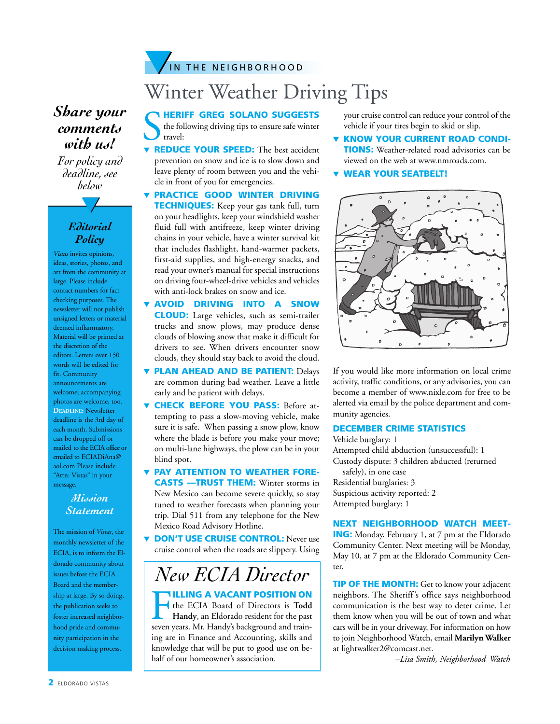### **IN THE NEIGHBORHOOD**

## Winter Weather Driving Tips

### *Share your comments with us!*

*For policy and deadline, see below*

#### *Editorial Policy*

▼

*Vistas* invites opinions, ideas, stories, photos, and art from the community at large. Please include contact numbers for fact checking purposes. The newsletter will not publish unsigned letters or material deemed inflammatory. Material will be printed at the discretion of the editors. Letters over 150 words will be edited for fit. Community announcements are welcome; accompanying photos are welcome, too. **DEADLINE:** Newsletter deadline is the 3rd day of each month. Submissions can be dropped off or mailed to the ECIA office or emailed to ECIADiAna@ aol.com Please include "Attn: Vistas" in your message.

#### *Mission Statement*

The mission of *Vistas*, the monthly newsletter of the ECIA, is to inform the Eldorado community about issues before the ECIA Board and the membership at large. By so doing, the publication seeks to foster increased neighborhood pride and community participation in the decision making process.

#### **NHERIFF GREG SOLANO SUGGESTS**

**SHERIFF GREG SOLANO SUGGESTS**<br>the following driving tips to ensure safe winter<br>**v** REDUCE YOUR SPEED: The best accident the following driving tips to ensure safe winter travel:

- prevention on snow and ice is to slow down and leave plenty of room between you and the vehicle in front of you for emergencies.
- **PRACTICE GOOD WINTER DRIVING TECHNIQUES:** Keep your gas tank full, turn on your headlights, keep your windshield washer fluid full with antifreeze, keep winter driving chains in your vehicle, have a winter survival kit that includes flashlight, hand-warmer packets, first-aid supplies, and high-energy snacks, and read your owner's manual for special instructions on driving four-wheel-drive vehicles and vehicles with anti-lock brakes on snow and ice.
- AVOID DRIVING INTO A SNOW CLOUD: Large vehicles, such as semi-trailer trucks and snow plows, may produce dense clouds of blowing snow that make it difficult for drivers to see. When drivers encounter snow clouds, they should stay back to avoid the cloud.
- **v PLAN AHEAD AND BE PATIENT:** Delays are common during bad weather. Leave a little early and be patient with delays.
- **CHECK BEFORE YOU PASS:** Before attempting to pass a slow-moving vehicle, make sure it is safe. When passing a snow plow, know where the blade is before you make your move; on multi-lane highways, the plow can be in your blind spot.
- PAY ATTENTION TO WEATHER FORE-CASTS —TRUST THEM: Winter storms in New Mexico can become severe quickly, so stay tuned to weather forecasts when planning your trip. Dial 511 from any telephone for the New Mexico Road Advisory Hotline.
- **DON'T USE CRUISE CONTROL:** Never use cruise control when the roads are slippery. Using

### *New ECIA Director*

THE ECIA Board of Directors is Todd<br>Handy, an Eldorado resident for the past<br>seven years. Mr. Handy's background and trainthe ECIA Board of Directors is **Todd Handy**, an Eldorado resident for the past seven years. Mr. Handy's background and training are in Finance and Accounting, skills and knowledge that will be put to good use on behalf of our homeowner's association.

your cruise control can reduce your control of the vehicle if your tires begin to skid or slip.

- **KNOW YOUR CURRENT ROAD CONDI-**TIONS: Weather-related road advisories can be viewed on the web at www.nmroads.com.
- ▼ WEAR YOUR SEATBELT!



If you would like more information on local crime activity, traffic conditions, or any advisories, you can become a member of www.nixle.com for free to be alerted via email by the police department and community agencies.

#### DECEMBER CRIME STATISTICS

Vehicle burglary: 1 Attempted child abduction (unsuccessful): 1 Custody dispute: 3 children abducted (returned safely), in one case Residential burglaries: 3 Suspicious activity reported: 2 Attempted burglary: 1

#### NEXT NEIGHBORHOOD WATCH MEET-ING: Monday, February 1, at 7 pm at the Eldorado

Community Center. Next meeting will be Monday, May 10, at 7 pm at the Eldorado Community Center.

**TIP OF THE MONTH:** Get to know your adjacent neighbors. The Sheriff's office says neighborhood communication is the best way to deter crime. Let them know when you will be out of town and what cars will be in your driveway. For information on how to join Neighborhood Watch, email **Marilyn Walker** at lightwalker2@comcast.net.

*–Lisa Smith, Neighborhood Watch*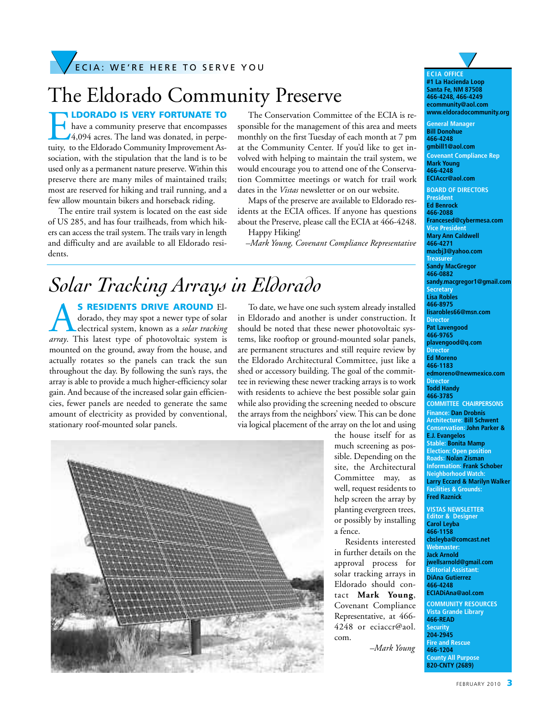## The Eldorado Community Preserve

**ILDORADO IS VERY FORTUNATE TO** have a community preserve that encompasses 4,094 acres. The land was donated, in perpetuity, to the Eldorado Community Improvement Association, with the stipulation that the land is to be used only as a permanent nature preserve. Within this preserve there are many miles of maintained trails; most are reserved for hiking and trail running, and a few allow mountain bikers and horseback riding.

The entire trail system is located on the east side of US 285, and has four trailheads, from which hikers can access the trail system.The trails vary in length and difficulty and are available to all Eldorado residents.

The Conservation Committee of the ECIA is responsible for the management of this area and meets monthly on the first Tuesday of each month at 7 pm at the Community Center. If you'd like to get involved with helping to maintain the trail system, we would encourage you to attend one of the Conservation Committee meetings or watch for trail work dates in the *Vistas* newsletter or on our website.

Maps of the preserve are available to Eldorado residents at the ECIA offices. If anyone has questions about the Preserve, please call the ECIA at 466-4248. Happy Hiking!

*–Mark Young, Covenant Compliance Representative*

### *Solar Tracking Arrays in Eldorado*

**S RESIDENTS DRIVE AROUND El**dorado, they may spot a newer type of solar electrical system, known as a *solar tracking array*. This latest type of photovoltaic system is mounted on the ground, away from the house, and actually rotates so the panels can track the sun throughout the day. By following the sun's rays, the array is able to provide a much higher-efficiency solar gain. And because of the increased solar gain efficiencies, fewer panels are needed to generate the same amount of electricity as provided by conventional, stationary roof-mounted solar panels.

To date, we have one such system already installed in Eldorado and another is under construction. It should be noted that these newer photovoltaic systems, like rooftop or ground-mounted solar panels, are permanent structures and still require review by the Eldorado Architectural Committee, just like a shed or accessory building. The goal of the committee in reviewing these newer tracking arrays is to work with residents to achieve the best possible solar gain while also providing the screening needed to obscure the arrays from the neighbors' view.This can be done via logical placement of the array on the lot and using



the house itself for as much screening as possible. Depending on the site, the Architectural Committee may, as well, request residents to help screen the array by planting evergreen trees, or possibly by installing a fence.

Residents interested in further details on the approval process for solar tracking arrays in Eldorado should contact **Mark Young**, Covenant Compliance Representative, at 466- 4248 or eciaccr@aol. com.

*–Mark Young*



**Editor & Designer Carol Leyba 466-1158 cbsleyba@comcast.net Webmaster: Jack Arnold jwellsarnold@gmail.com Editorial Assistant: DiAna Gutierrez 466-4248 ECIADiAna@aol.com**

**COMMUNITY RESOURCES Vista Grande Library 466-READ Security 204-2945 Fire and Rescue 466-1204 County All Purpose 820-CNTY (2689)**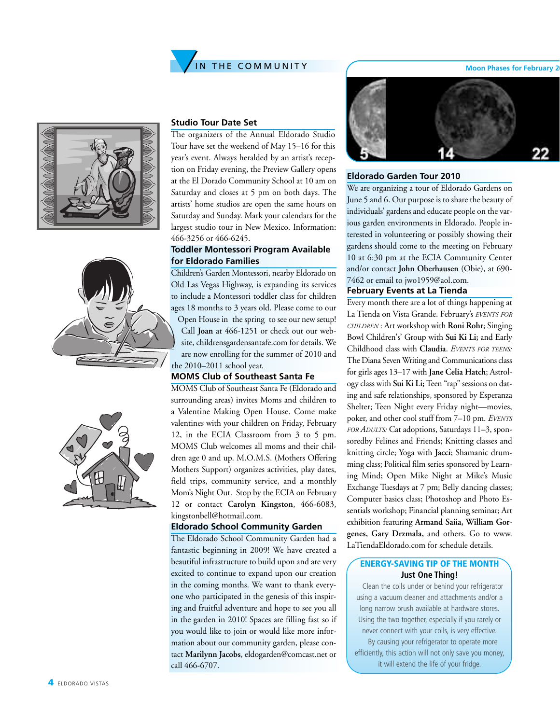







#### **Studio Tour Date Set**

The organizers of the Annual Eldorado Studio Tour have set the weekend of May 15–16 for this year's event. Always heralded by an artist's reception on Friday evening, the Preview Gallery opens at the El Dorado Community School at 10 am on Saturday and closes at 5 pm on both days. The artists' home studios are open the same hours on Saturday and Sunday. Mark your calendars for the largest studio tour in New Mexico. Information: 466-3256 or 466-6245.

#### **Toddler Montessori Program Available for Eldorado Families**

Children's Garden Montessori, nearby Eldorado on Old Las Vegas Highway, is expanding its services to include a Montessori toddler class for children ages 18 months to 3 years old. Please come to our Open House in the spring to see our new setup! Call **Joan** at 466-1251 or check out our website, childrensgardensantafe.com for details. We are now enrolling for the summer of 2010 and the 2010–2011 school year.

#### **MOMS Club of Southeast Santa Fe**

MOMS Club of Southeast Santa Fe (Eldorado and surrounding areas) invites Moms and children to a Valentine Making Open House. Come make valentines with your children on Friday, February 12, in the ECIA Classroom from 3 to 5 pm. MOMS Club welcomes all moms and their children age 0 and up. M.O.M.S. (Mothers Offering Mothers Support) organizes activities, play dates, field trips, community service, and a monthly Mom's Night Out. Stop by the ECIA on February 12 or contact **Carolyn Kingston**, 466-6083, kingstonbell@hotmail.com.

#### **Eldorado School Community Garden**

The Eldorado School Community Garden had a fantastic beginning in 2009! We have created a beautiful infrastructure to build upon and are very excited to continue to expand upon our creation in the coming months. We want to thank everyone who participated in the genesis of this inspiring and fruitful adventure and hope to see you all in the garden in 2010! Spaces are filling fast so if you would like to join or would like more information about our community garden, please contact **Marilynn Jacobs**, eldogarden@comcast.net or call 466-6707.



#### **Eldorado Garden Tour 2010**

We are organizing a tour of Eldorado Gardens on June 5 and 6. Our purpose is to share the beauty of individuals' gardens and educate people on the various garden environments in Eldorado. People interested in volunteering or possibly showing their gardens should come to the meeting on February 10 at 6:30 pm at the ECIA Community Center and/or contact **John Oberhausen** (Obie), at 690- 7462 or email to jwo1959@aol.com.

#### **February Events at La Tienda**

Every month there are a lot of things happening at La Tienda on Vista Grande. February's *EVENTS FOR CHILDREN* : Art workshop with **Roni Rohr**; Singing Bowl Children's' Group with **Sui Ki Li;** and Early Childhood class with **Claudia**. *EVENTS FOR TEENS:* The Diana Seven Writing and Communications class for girls ages 13–17 with **Jane Celia Hatch**; Astrology class with **Sui Ki Li;** Teen "rap" sessions on dating and safe relationships, sponsored by Esperanza Shelter; Teen Night every Friday night—movies, poker, and other cool stuff from 7–10 pm. *EVENTS FOR ADULTS:* Cat adoptions, Saturdays 11–3, sponsoredby Felines and Friends; Knitting classes and knitting circle; Yoga with **Jacci**; Shamanic drumming class; Political film series sponsored by Learning Mind; Open Mike Night at Mike's Music Exchange Tuesdays at 7 pm; Belly dancing classes; Computer basics class; Photoshop and Photo Essentials workshop; Financial planning seminar; Art exhibition featuring **Armand Saiia, William Gorgenes, Gary Drzmala,** and others. Go to www. LaTiendaEldorado.com for schedule details.

#### ENERGY-SAVING TIP OF THE MONTH **Just One Thing!**

Clean the coils under or behind your refrigerator using a vacuum cleaner and attachments and/or a long narrow brush available at hardware stores. Using the two together, especially if you rarely or never connect with your coils, is very effective.

By causing your refrigerator to operate more efficiently, this action will not only save you money, it will extend the life of your fridge.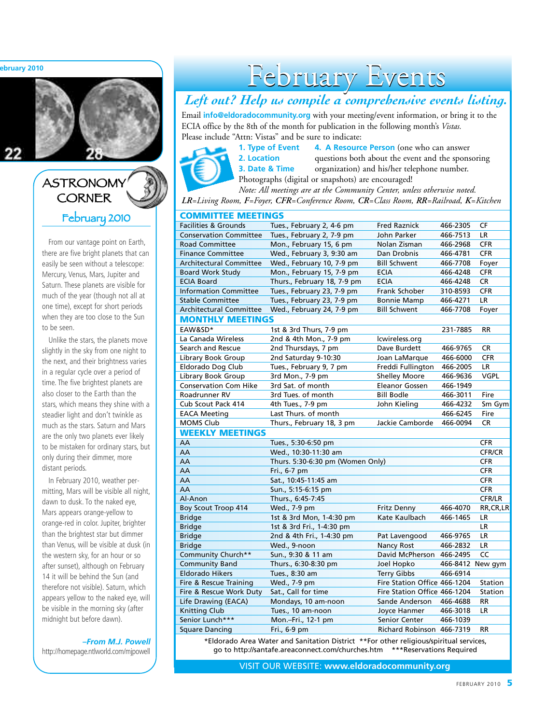**February 2010**



### ASTRONOMY **CORNER** February 2010

From our vantage point on Earth, there are five bright planets that can easily be seen without a telescope: Mercury, Venus, Mars, Jupiter and Saturn. These planets are visible for much of the year (though not all at one time), except for short periods when they are too close to the Sun to be seen.

Unlike the stars, the planets move slightly in the sky from one night to the next, and their brightness varies in a regular cycle over a period of time. The five brightest planets are also closer to the Earth than the stars, which means they shine with a steadier light and don't twinkle as much as the stars. Saturn and Mars are the only two planets ever likely to be mistaken for ordinary stars, but only during their dimmer, more distant periods.

In February 2010, weather permitting, Mars will be visible all night, dawn to dusk. To the naked eye, Mars appears orange-yellow to orange-red in color. Jupiter, brighter than the brightest star but dimmer than Venus, will be visible at dusk (in the western sky, for an hour or so after sunset), although on February 14 it will be behind the Sun (and therefore not visible). Saturn, which appears yellow to the naked eye, will be visible in the morning sky (after midnight but before dawn).

*–From M.J. Powell*

http://homepage.ntlworld.com/mjpowell

# February Events

### *Left out? Help us compile a comprehensive events listing.*

Email **info@eldoradocommunity.org** with your meeting/event information, or bring it to the ECIA office by the 8th of the month for publication in the following month's *Vistas.* Please include "Attn: Vistas" and be sure to indicate:



**1. Type of Event 4. A Resource Person** (one who can answer **2. Location** questions both about the event and the sponsoring **3. Date & Time** organization) and his/her telephone number.

Photographs (digital or snapshots) are encouraged! *Note: All meetings are at the Community Center, unless otherwise noted.*

*LR=Living Room, F=Foyer, CFR=Conference Room, CR=Class Room, RR=Railroad, K=Kitchen*

| <b>COMMITTEE MEETINGS</b>                                                              |                                  |                              |                  |               |  |
|----------------------------------------------------------------------------------------|----------------------------------|------------------------------|------------------|---------------|--|
| <b>Facilities &amp; Grounds</b>                                                        | Tues., February 2, 4-6 pm        | <b>Fred Raznick</b>          | 466-2305         | CF            |  |
| <b>Conservation Committee</b>                                                          | Tues., February 2, 7-9 pm        | John Parker                  | 466-7513         | LR            |  |
| <b>Road Committee</b>                                                                  | Mon., February 15, 6 pm          | Nolan Zisman                 | 466-2968         | <b>CFR</b>    |  |
| <b>Finance Committee</b>                                                               | Wed., February 3, 9:30 am        | Dan Drobnis                  | 466-4781         | <b>CFR</b>    |  |
| <b>Architectural Committee</b>                                                         | Wed., February 10, 7-9 pm        | <b>Bill Schwent</b>          | 466-7708         | Foyer         |  |
| <b>Board Work Study</b>                                                                | Mon., February 15, 7-9 pm        | <b>ECIA</b>                  | 466-4248         | <b>CFR</b>    |  |
| <b>ECIA Board</b>                                                                      | Thurs., February 18, 7-9 pm      | <b>ECIA</b>                  | 466-4248         | <b>CR</b>     |  |
| <b>Information Committee</b>                                                           | Tues., February 23, 7-9 pm       | Frank Schober                | 310-8593         | <b>CFR</b>    |  |
| <b>Stable Committee</b>                                                                | Tues., February 23, 7-9 pm       | <b>Bonnie Mamp</b>           | 466-4271         | LR.           |  |
| Architectural Committee                                                                | Wed., February 24, 7-9 pm        | <b>Bill Schwent</b>          | 466-7708         | Foyer         |  |
| <b>MONTHLY MEETINGS</b>                                                                |                                  |                              |                  |               |  |
| EAW&SD*                                                                                | 1st & 3rd Thurs, 7-9 pm          |                              | 231-7885         | <b>RR</b>     |  |
| La Canada Wireless                                                                     | 2nd & 4th Mon., 7-9 pm           | lcwireless.org               |                  |               |  |
| Search and Rescue                                                                      | 2nd Thursdays, 7 pm              | Dave Burdett                 | 466-9765         | CR            |  |
| Library Book Group                                                                     | 2nd Saturday 9-10:30             | Joan LaMarque                | 466-6000         | <b>CFR</b>    |  |
| Eldorado Dog Club                                                                      | Tues., February 9, 7 pm          | Freddi Fullington            | 466-2005         | <b>LR</b>     |  |
| Library Book Group                                                                     | 3rd Mon., 7-9 pm                 | <b>Shelley Moore</b>         | 466-9636         | <b>VGPL</b>   |  |
| <b>Conservation Com Hike</b>                                                           | 3rd Sat. of month                | <b>Eleanor Gossen</b>        | 466-1949         |               |  |
| Roadrunner RV                                                                          | 3rd Tues. of month               | <b>Bill Bodle</b>            | 466-3011         | Fire          |  |
| Cub Scout Pack 414                                                                     | 4th Tues., 7-9 pm                | John Kieling                 | 466-4232         | Sm Gym        |  |
| <b>EACA Meeting</b>                                                                    | Last Thurs. of month             |                              | 466-6245         | Fire          |  |
| <b>MOMS Club</b>                                                                       | Thurs., February 18, 3 pm        | Jackie Camborde              | 466-0094         | <b>CR</b>     |  |
| <b>WEEKLY MEETINGS</b>                                                                 |                                  |                              |                  |               |  |
| AA                                                                                     | Tues., 5:30-6:50 pm              |                              |                  | <b>CFR</b>    |  |
| AA                                                                                     | Wed., 10:30-11:30 am             |                              |                  | <b>CFR/CR</b> |  |
| AA                                                                                     | Thurs. 5:30-6:30 pm (Women Only) |                              |                  | <b>CFR</b>    |  |
| AA                                                                                     | Fri., 6-7 pm                     |                              |                  | <b>CFR</b>    |  |
| AA                                                                                     | Sat., 10:45-11:45 am             |                              |                  | <b>CFR</b>    |  |
| AA                                                                                     | Sun., 5:15-6:15 pm               |                              |                  | <b>CFR</b>    |  |
| Al-Anon                                                                                | Thurs., 6:45-7:45                |                              |                  | CFR/LR        |  |
| Boy Scout Troop 414                                                                    | Wed., 7-9 pm                     | Fritz Denny                  | 466-4070         | RR, CR, LR    |  |
| <b>Bridge</b>                                                                          | 1st & 3rd Mon, 1-4:30 pm         | Kate Kaulbach                | 466-1465         | LR            |  |
| <b>Bridge</b>                                                                          | 1st & 3rd Fri., 1-4:30 pm        |                              |                  | <b>LR</b>     |  |
| <b>Bridge</b>                                                                          | 2nd & 4th Fri., 1-4:30 pm        | Pat Lavengood                | 466-9765         | LR            |  |
| <b>Bridge</b>                                                                          | Wed., 9-noon                     | <b>Nancy Rost</b>            | 466-2832         | <b>LR</b>     |  |
| Community Church**                                                                     | Sun., 9:30 & 11 am               | David McPherson              | 466-2495         | CC            |  |
| <b>Community Band</b>                                                                  | Thurs., 6:30-8:30 pm             | Joel Hopko                   | 466-8412 New gym |               |  |
| <b>Eldorado Hikers</b>                                                                 | Tues., 8:30 am                   | <b>Terry Gibbs</b>           | 466-6914         |               |  |
| Fire & Rescue Training                                                                 | Wed., 7-9 pm                     | Fire Station Office 466-1204 |                  | Station       |  |
| Fire & Rescue Work Duty                                                                | Sat., Call for time              | Fire Station Office 466-1204 |                  | Station       |  |
| Life Drawing (EACA)                                                                    | Mondays, 10 am-noon              | Sande Anderson               | 466-4688         | <b>RR</b>     |  |
| <b>Knitting Club</b>                                                                   | Tues., 10 am-noon                | Joyce Hanmer                 | 466-3018         | <b>LR</b>     |  |
| Senior Lunch***                                                                        | Mon.-Fri., 12-1 pm               | Senior Center                | 466-1039         |               |  |
| <b>Square Dancing</b>                                                                  | Fri., 6-9 pm                     | Richard Robinson 466-7319    |                  | <b>RR</b>     |  |
| *Elderado Area Water and Sanitation District, **Eer other religious/spiritual convices |                                  |                              |                  |               |  |

ea Water and Sanitation District \*\*For other religious/spiritual services go to http://santafe.areaconnect.com/churches.htm \*\*\*Reservations Required

VISIT OUR WEBSITE: **www.eldoradocommunity.org**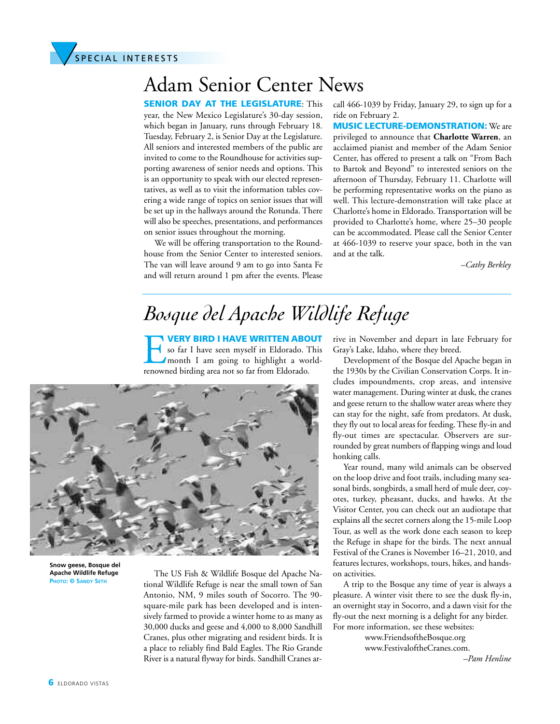

# Adam Senior Center News

**SENIOR DAY AT THE LEGISLATURE: This** year, the New Mexico Legislature's 30-day session, which began in January, runs through February 18. Tuesday, February 2, is Senior Day at the Legislature. All seniors and interested members of the public are invited to come to the Roundhouse for activities supporting awareness of senior needs and options. This is an opportunity to speak with our elected representatives, as well as to visit the information tables covering a wide range of topics on senior issues that will be set up in the hallways around the Rotunda. There will also be speeches, presentations, and performances on senior issues throughout the morning.

We will be offering transportation to the Roundhouse from the Senior Center to interested seniors. The van will leave around 9 am to go into Santa Fe and will return around 1 pm after the events. Please call 466-1039 by Friday, January 29, to sign up for a ride on February 2.

MUSIC LECTURE-DEMONSTRATION: We are privileged to announce that **Charlotte Warren**, an acclaimed pianist and member of the Adam Senior Center, has offered to present a talk on "From Bach to Bartok and Beyond" to interested seniors on the afternoon of Thursday, February 11. Charlotte will be performing representative works on the piano as well. This lecture-demonstration will take place at Charlotte's home in Eldorado. Transportation will be provided to Charlotte's home, where 25–30 people can be accommodated. Please call the Senior Center at 466-1039 to reserve your space, both in the van and at the talk.

*–Cathy Berkley*

### *Bosque del Apache Wildlife Refuge*

VERY BIRD I HAVE WRITTEN ABOUT<br>so far I have seen myself in Eldorado. This<br>month I am going to highlight a world-<br>renowned birding area not so far from Eldorado. so far I have seen myself in Eldorado. This month I am going to highlight a worldrenowned birding area not so far from Eldorado.



**Snow geese, Bosque del Apache Wildlife Refuge PHOTO: © SANDY SETH**

The US Fish & Wildlife Bosque del Apache National Wildlife Refuge is near the small town of San Antonio, NM, 9 miles south of Socorro. The 90 square-mile park has been developed and is intensively farmed to provide a winter home to as many as 30,000 ducks and geese and 4,000 to 8,000 Sandhill Cranes, plus other migrating and resident birds. It is a place to reliably find Bald Eagles. The Rio Grande River is a natural flyway for birds. Sandhill Cranes arrive in November and depart in late February for Gray's Lake, Idaho, where they breed.

Development of the Bosque del Apache began in the 1930s by the Civilian Conservation Corps. It includes impoundments, crop areas, and intensive water management. During winter at dusk, the cranes and geese return to the shallow water areas where they can stay for the night, safe from predators. At dusk, they fly out to local areas for feeding.These fly-in and fly-out times are spectacular. Observers are surrounded by great numbers of flapping wings and loud honking calls.

Year round, many wild animals can be observed on the loop drive and foot trails, including many seasonal birds, songbirds, a small herd of mule deer, coyotes, turkey, pheasant, ducks, and hawks. At the Visitor Center, you can check out an audiotape that explains all the secret corners along the 15-mile Loop Tour, as well as the work done each season to keep the Refuge in shape for the birds. The next annual Festival of the Cranes is November 16–21, 2010, and features lectures, workshops, tours, hikes, and handson activities.

A trip to the Bosque any time of year is always a pleasure. A winter visit there to see the dusk fly-in, an overnight stay in Socorro, and a dawn visit for the fly-out the next morning is a delight for any birder. For more information, see these websites:

> www.FriendsoftheBosque.org www.FestivaloftheCranes.com.

*–Pam Henline*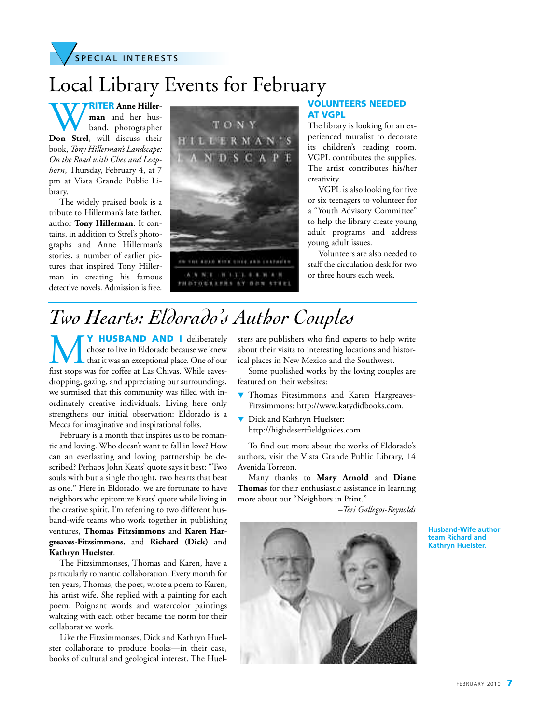

# Local Library Events for February

WRITER Anne Hiller-<br> **Don** Strel, will discuss their **man** and her husband, photographer book, *Tony Hillerman's Landscape: On the Road with Chee and Leaphorn*, Thursday, February 4, at 7 pm at Vista Grande Public Library.

The widely praised book is a tribute to Hillerman's late father, author **Tony Hillerman**. It contains, in addition to Strel's photographs and Anne Hillerman's stories, a number of earlier pictures that inspired Tony Hillerman in creating his famous detective novels. Admission is free.



#### VOLUNTEERS NEEDED AT VGPL

The library is looking for an experienced muralist to decorate its children's reading room. VGPL contributes the supplies. The artist contributes his/her creativity.

VGPL is also looking for five or six teenagers to volunteer for a "Youth Advisory Committee" to help the library create young adult programs and address young adult issues.

Volunteers are also needed to staff the circulation desk for two or three hours each week.

## *Two Hearts: Eldorado's Author Couples*

W HUSBAND AND I deliberately<br>that it was an exceptional place. One of our<br>first stops was for coffee at Las Chivas. While eaveschose to live in Eldorado because we knew that it was an exceptional place. One of our dropping, gazing, and appreciating our surroundings, we surmised that this community was filled with inordinately creative individuals. Living here only strengthens our initial observation: Eldorado is a Mecca for imaginative and inspirational folks.

February is a month that inspires us to be romantic and loving. Who doesn't want to fall in love? How can an everlasting and loving partnership be described? Perhaps John Keats' quote says it best: "Two souls with but a single thought, two hearts that beat as one." Here in Eldorado, we are fortunate to have neighbors who epitomize Keats' quote while living in the creative spirit. I'm referring to two different husband-wife teams who work together in publishing ventures, **Thomas Fitzsimmons** and **Karen Hargreaves-Fitzsimmons**, and **Richard (Dick)** and **Kathryn Huelster**.

The Fitzsimmonses, Thomas and Karen, have a particularly romantic collaboration. Every month for ten years, Thomas, the poet, wrote a poem to Karen, his artist wife. She replied with a painting for each poem. Poignant words and watercolor paintings waltzing with each other became the norm for their collaborative work.

Like the Fitzsimmonses, Dick and Kathryn Huelster collaborate to produce books—in their case, books of cultural and geological interest. The Huelsters are publishers who find experts to help write about their visits to interesting locations and historical places in New Mexico and the Southwest.

Some published works by the loving couples are featured on their websites:

- Thomas Fitzsimmons and Karen Hargreaves-Fitzsimmons: http://www.katydidbooks.com.
- ▼ Dick and Kathryn Huelster: http://highdesertfieldguides.com

To find out more about the works of Eldorado's authors, visit the Vista Grande Public Library, 14 Avenida Torreon.

Many thanks to **Mary Arnold** and **Diane Thomas** for their enthusiastic assistance in learning more about our "Neighbors in Print."

*–Teri Gallegos-Reynolds*



**Husband-Wife author team Richard and Kathryn Huelster.**